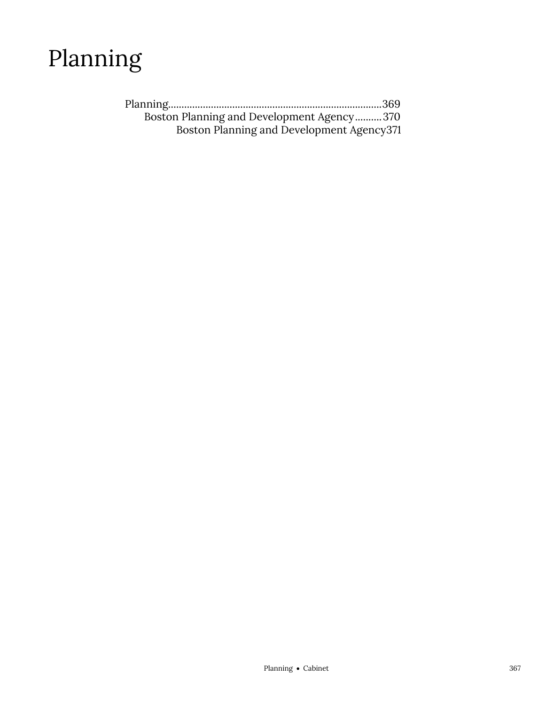

| Boston Planning and Development Agency370  |  |
|--------------------------------------------|--|
| Boston Planning and Development Agency 371 |  |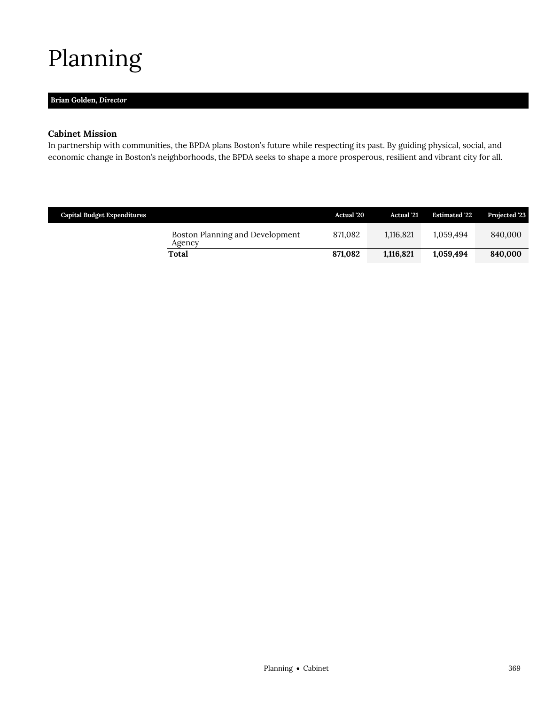# <span id="page-2-0"></span>Planning

# **Brian Golden,** *Director*

## **Cabinet Mission**

In partnership with communities, the BPDA plans Boston's future while respecting its past. By guiding physical, social, and economic change in Boston's neighborhoods, the BPDA seeks to shape a more prosperous, resilient and vibrant city for all.

| <b>Capital Budget Expenditures</b>        | Actual '20 | <b>Actual</b> '21 | <b>Estimated '22</b> | Projected '23 |
|-------------------------------------------|------------|-------------------|----------------------|---------------|
| Boston Planning and Development<br>Agency | 871,082    | 1.116.821         | 1.059.494            | 840,000       |
| Total                                     | 871.082    | 1,116,821         | 1,059,494            | 840,000       |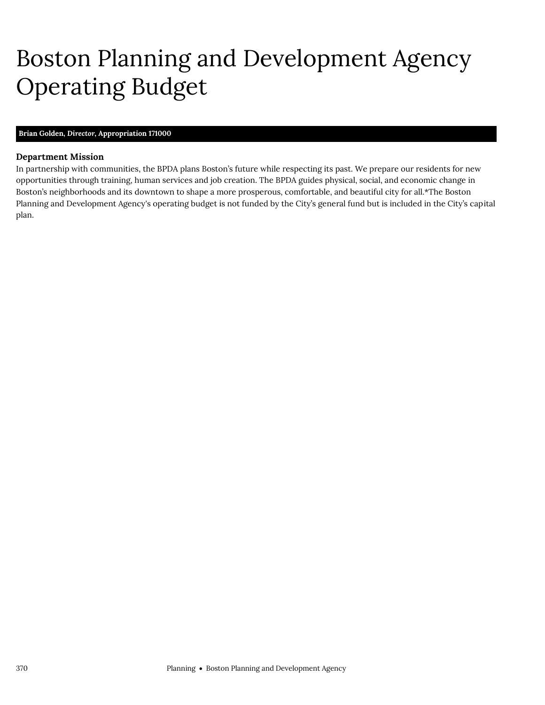# <span id="page-3-0"></span>Boston Planning and Development Agency Operating Budget

## **Brian Golden,** *Director,* **Appropriation 171000**

### **Department Mission**

In partnership with communities, the BPDA plans Boston's future while respecting its past. We prepare our residents for new opportunities through training, human services and job creation. The BPDA guides physical, social, and economic change in Boston's neighborhoods and its downtown to shape a more prosperous, comfortable, and beautiful city for all.\*The Boston Planning and Development Agency's operating budget is not funded by the City's general fund but is included in the City's capital plan.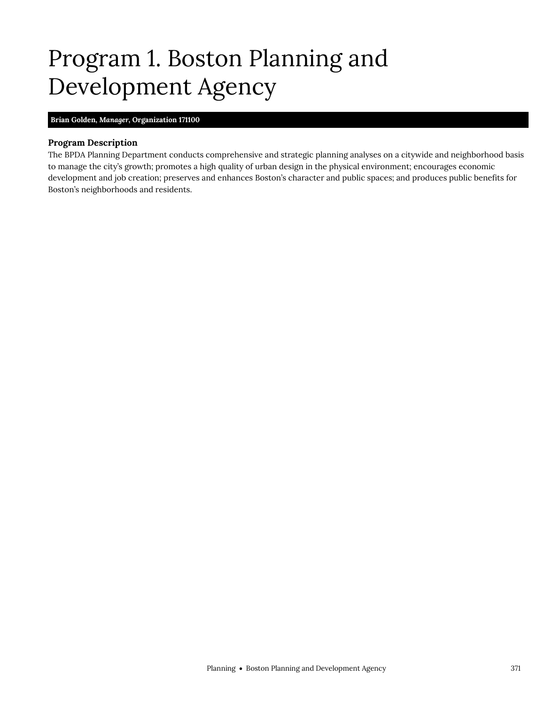# <span id="page-4-0"></span>Program 1. Boston Planning and Development Agency

#### **Brian Golden,** *Manager,* **Organization 171100**

### **Program Description**

The BPDA Planning Department conducts comprehensive and strategic planning analyses on a citywide and neighborhood basis to manage the city's growth; promotes a high quality of urban design in the physical environment; encourages economic development and job creation; preserves and enhances Boston's character and public spaces; and produces public benefits for Boston's neighborhoods and residents.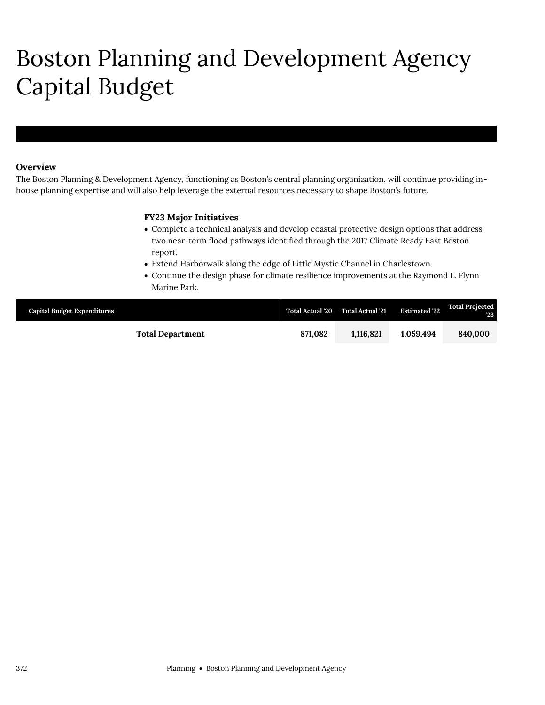# Boston Planning and Development Agency Capital Budget

## **Overview**

The Boston Planning & Development Agency, functioning as Boston's central planning organization, will continue providing inhouse planning expertise and will also help leverage the external resources necessary to shape Boston's future.

## **FY23 Major Initiatives**

- Complete a technical analysis and develop coastal protective design options that address two near-term flood pathways identified through the 2017 Climate Ready East Boston report.
- Extend Harborwalk along the edge of Little Mystic Channel in Charlestown.
- Continue the design phase for climate resilience improvements at the Raymond L. Flynn Marine Park.

| <b>Capital Budget Expenditures</b> | <b>Total Actual '20</b> | <b>Total Actual '21</b> | <b>Estimated '22</b> | <b>Total Projected</b><br>23 |
|------------------------------------|-------------------------|-------------------------|----------------------|------------------------------|
| <b>Total Department</b>            | 871.082                 | 1.116.821               | 1.059.494            | 840.000                      |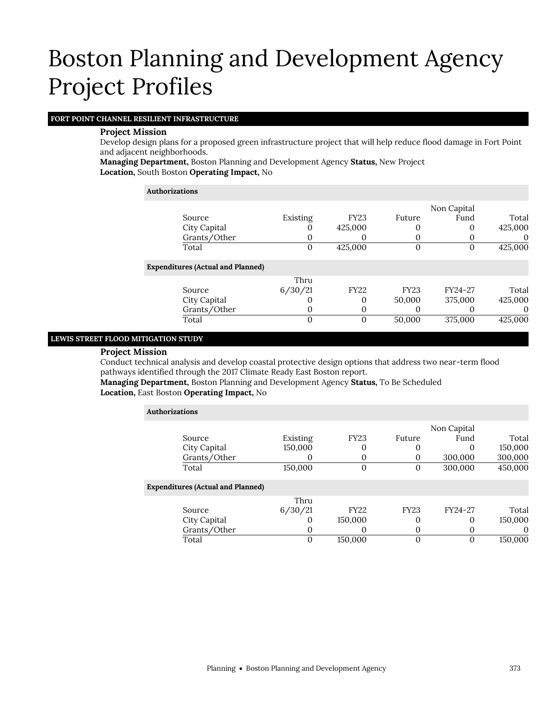# **FORT POINT CHANNEL RESILIENT INFRASTRUCTURE**

## **Project Mission**

Develop design plans for a proposed green infrastructure project that will help reduce flood damage in Fort Point and adjacent neighborhoods.

**Managing Department,** Boston Planning and Development Agency **Status,** New Project **Location,** South Boston **Operating Impact,** No

| <b>Authorizations</b>                    |          |             |             |             |          |
|------------------------------------------|----------|-------------|-------------|-------------|----------|
|                                          |          |             |             | Non Capital |          |
| Source                                   | Existing | <b>FY23</b> | Future      | Fund        | Total    |
| City Capital                             | 0        | 425,000     | 0           | 0           | 425,000  |
| Grants/Other                             |          | O           | $\Omega$    |             | $\theta$ |
| Total                                    | 0        | 425,000     | $\mathbf 0$ | 0           | 425,000  |
| <b>Expenditures (Actual and Planned)</b> |          |             |             |             |          |
|                                          | Thru     |             |             |             |          |
| Source                                   | 6/30/21  | <b>FY22</b> | <b>FY23</b> | FY24-27     | Total    |
| City Capital                             |          | 0           | 50,000      | 375,000     | 425,000  |
| Grants/Other                             | $\Omega$ | 0           | $\Omega$    |             | $\Omega$ |
| Total                                    | 0        | 0           | 50,000      | 375,000     | 425,000  |

### **LEWIS STREET FLOOD MITIGATION STUDY**

### **Project Mission**

Conduct technical analysis and develop coastal protective design options that address two near-term flood pathways identified through the 2017 Climate Ready East Boston report.

**Managing Department,** Boston Planning and Development Agency **Status,** To Be Scheduled **Location,** East Boston **Operating Impact,** No

| <b>Authorizations</b>                    |          |             |             |             |          |  |  |
|------------------------------------------|----------|-------------|-------------|-------------|----------|--|--|
|                                          |          |             |             | Non Capital |          |  |  |
| Source                                   | Existing | <b>FY23</b> | Future      | Fund        | Total    |  |  |
| City Capital                             | 150,000  | 0           | 0           | $\Omega$    | 150,000  |  |  |
| Grants/Other                             |          | 0           | $\mathbf 0$ | 300,000     | 300,000  |  |  |
| Total                                    | 150,000  | 0           | 0           | 300,000     | 450,000  |  |  |
| <b>Expenditures (Actual and Planned)</b> |          |             |             |             |          |  |  |
|                                          | Thru     |             |             |             |          |  |  |
| Source                                   | 6/30/21  | <b>FY22</b> | <b>FY23</b> | FY24-27     | Total    |  |  |
| City Capital                             | $\Omega$ | 150,000     | 0           | 0           | 150,000  |  |  |
| Grants/Other                             | 0        | O           | 0           |             | $\Omega$ |  |  |
| Total                                    | $\Omega$ | 150.000     | $\Omega$    | 0           | 150,000  |  |  |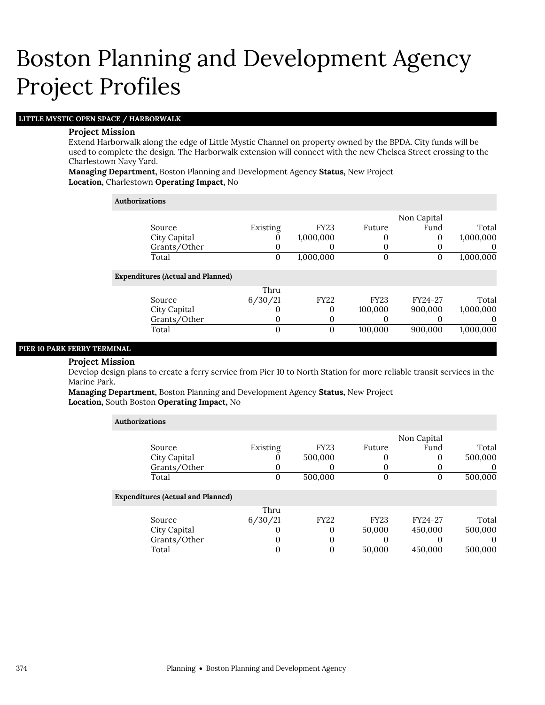# **LITTLE MYSTIC OPEN SPACE / HARBORWALK**

### **Project Mission**

Extend Harborwalk along the edge of Little Mystic Channel on property owned by the BPDA. City funds will be used to complete the design. The Harborwalk extension will connect with the new Chelsea Street crossing to the Charlestown Navy Yard.

**Managing Department,** Boston Planning and Development Agency **Status,** New Project **Location,** Charlestown **Operating Impact,** No

### **Authorizations**

|                                          |              |             |              | Non Capital |           |
|------------------------------------------|--------------|-------------|--------------|-------------|-----------|
| Source                                   | Existing     | <b>FY23</b> | Future       | Fund        | Total     |
| City Capital                             |              | 1,000,000   | 0            | 0           | 1,000,000 |
| Grants/Other                             | 0            | O           | $\Omega$     | 0           | $\theta$  |
| Total                                    | $\mathbf{0}$ | 1,000,000   | $\mathbf{0}$ | 0           | 1,000,000 |
| <b>Expenditures (Actual and Planned)</b> |              |             |              |             |           |
|                                          | Thru         |             |              |             |           |
| Source                                   | 6/30/21      | <b>FY22</b> | <b>FY23</b>  | FY24-27     | Total     |
| City Capital                             |              | 0           | 100,000      | 900,000     | 1,000,000 |
| Grants/Other                             | 0            | 0           | O            |             | $\theta$  |
| Total                                    | 0            | 0           | 100,000      | 900,000     | 1,000,000 |
|                                          |              |             |              |             |           |

## **PIER 10 PARK FERRY TERMINAL**

#### **Project Mission**

Develop design plans to create a ferry service from Pier 10 to North Station for more reliable transit services in the Marine Park.

**Managing Department,** Boston Planning and Development Agency **Status,** New Project **Location,** South Boston **Operating Impact,** No

| <b>Authorizations</b>                    |          |             |             |             |          |
|------------------------------------------|----------|-------------|-------------|-------------|----------|
|                                          |          |             |             | Non Capital |          |
| Source                                   | Existing | <b>FY23</b> | Future      | Fund        | Total    |
| City Capital                             | U        | 500,000     |             | 0           | 500,000  |
| Grants/Other                             | O        | O           |             |             | $\theta$ |
| Total                                    | 0        | 500,000     | O           | 0           | 500,000  |
| <b>Expenditures (Actual and Planned)</b> |          |             |             |             |          |
|                                          | Thru     |             |             |             |          |
| Source                                   | 6/30/21  | <b>FY22</b> | <b>FY23</b> | FY24-27     | Total    |
| City Capital                             | O        | 0           | 50,000      | 450,000     | 500,000  |
| Grants/Other                             | 0        | 0           |             |             | $\theta$ |
| Total                                    | 0        | 0           | 50,000      | 450,000     | 500,000  |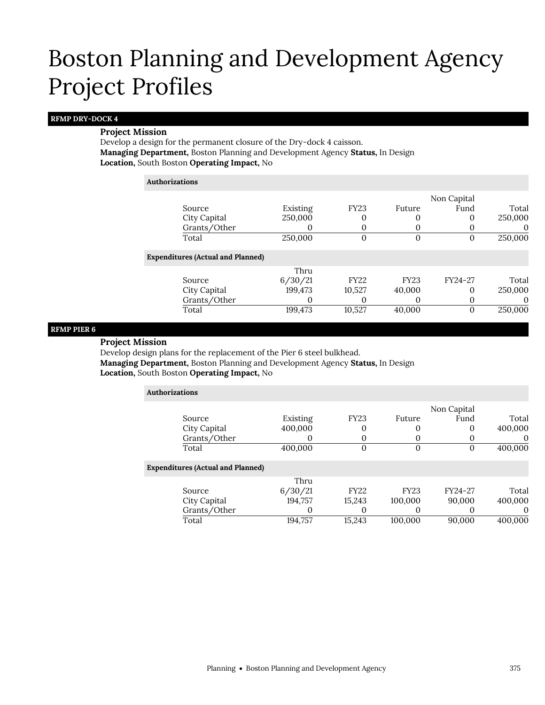## **RFMP DRY-DOCK 4**

## **Project Mission**

Develop a design for the permanent closure of the Dry-dock 4 caisson. **Managing Department,** Boston Planning and Development Agency **Status,** In Design **Location,** South Boston **Operating Impact,** No

#### **Authorizations**

|                                          |          |             |             | Non Capital |          |
|------------------------------------------|----------|-------------|-------------|-------------|----------|
| Source                                   | Existing | <b>FY23</b> | Future      | Fund        | Total    |
| City Capital                             | 250,000  | 0           |             | 0           | 250,000  |
| Grants/Other                             |          | $\Omega$    |             |             | 0        |
| Total                                    | 250,000  | $\Omega$    | 0           | 0           | 250,000  |
| <b>Expenditures (Actual and Planned)</b> |          |             |             |             |          |
|                                          | Thru     |             |             |             |          |
| Source                                   | 6/30/21  | <b>FY22</b> | <b>FY23</b> | FY24-27     | Total    |
| City Capital                             | 199,473  | 10,527      | 40,000      | 0           | 250,000  |
| Grants/Other                             |          | $\Omega$    |             |             | $\Omega$ |
| Total                                    | 199,473  | 10,527      | 40,000      | $\Omega$    | 250,000  |
|                                          |          |             |             |             |          |

### **RFMP PIER 6**

## **Project Mission**

Develop design plans for the replacement of the Pier 6 steel bulkhead. **Managing Department,** Boston Planning and Development Agency **Status,** In Design **Location,** South Boston **Operating Impact,** No

| <b>Authorizations</b>                    |              |          |              |             |             |          |
|------------------------------------------|--------------|----------|--------------|-------------|-------------|----------|
|                                          |              |          |              |             | Non Capital |          |
|                                          | Source       | Existing | <b>FY23</b>  | Future      | Fund        | Total    |
|                                          | City Capital | 400,000  | 0            | 0           | 0           | 400,000  |
|                                          | Grants/Other |          | 0            | 0           | O           | $\Omega$ |
|                                          | Total        | 400,000  | $\mathbf{0}$ | 0           | 0           | 400,000  |
| <b>Expenditures (Actual and Planned)</b> |              |          |              |             |             |          |
|                                          |              | Thru     |              |             |             |          |
|                                          | Source       | 6/30/21  | <b>FY22</b>  | <b>FY23</b> | FY24-27     | Total    |
|                                          | City Capital | 194,757  | 15,243       | 100,000     | 90,000      | 400,000  |
|                                          | Grants/Other |          | O            | 0           | O           | $\Omega$ |
|                                          | Total        | 194.757  | 15,243       | 100.000     | 90,000      | 400.000  |